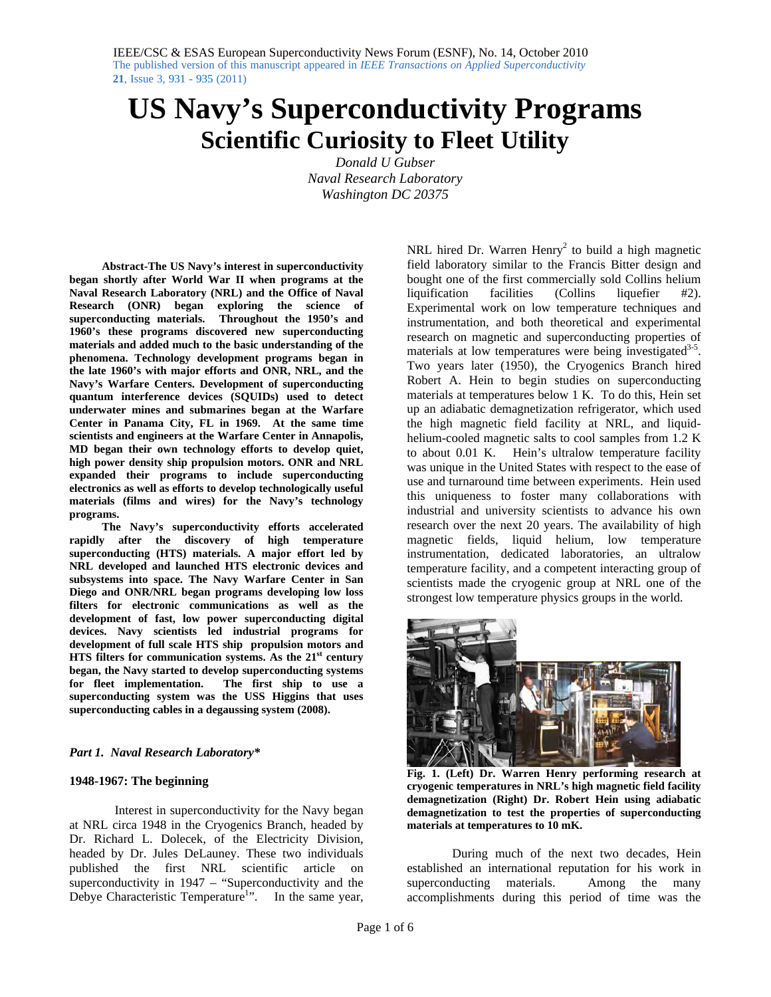# **US Navy's Superconductivity Programs Scientific Curiosity to Fleet Utility**

*Donald U Gubser Naval Research Laboratory Washington DC 20375* 

**Abstract-The US Navy's interest in superconductivity began shortly after World War II when programs at the Naval Research Laboratory (NRL) and the Office of Naval Research (ONR) began exploring the science of superconducting materials. Throughout the 1950's and 1960's these programs discovered new superconducting materials and added much to the basic understanding of the phenomena. Technology development programs began in the late 1960's with major efforts and ONR, NRL, and the Navy's Warfare Centers. Development of superconducting quantum interference devices (SQUIDs) used to detect underwater mines and submarines began at the Warfare Center in Panama City, FL in 1969. At the same time scientists and engineers at the Warfare Center in Annapolis, MD began their own technology efforts to develop quiet, high power density ship propulsion motors. ONR and NRL expanded their programs to include superconducting electronics as well as efforts to develop technologically useful materials (films and wires) for the Navy's technology programs.** 

 **The Navy's superconductivity efforts accelerated rapidly after the discovery of high temperature superconducting (HTS) materials. A major effort led by NRL developed and launched HTS electronic devices and subsystems into space. The Navy Warfare Center in San Diego and ONR/NRL began programs developing low loss filters for electronic communications as well as the development of fast, low power superconducting digital devices. Navy scientists led industrial programs for development of full scale HTS ship propulsion motors and HTS filters for communication systems. As the 21<sup>st</sup> century began, the Navy started to develop superconducting systems for fleet implementation. The first ship to use a superconducting system was the USS Higgins that uses superconducting cables in a degaussing system (2008).** 

### *Part 1. Naval Research Laboratory\**

## **1948-1967: The beginning**

Interest in superconductivity for the Navy began at NRL circa 1948 in the Cryogenics Branch, headed by Dr. Richard L. Dolecek, of the Electricity Division, headed by Dr. Jules DeLauney. These two individuals published the first NRL scientific article on superconductivity in 1947 – "Superconductivity and the Debye Characteristic Temperature<sup>1</sup>". In the same year,

NRL hired Dr. Warren  $Henry<sup>2</sup>$  to build a high magnetic field laboratory similar to the Francis Bitter design and bought one of the first commercially sold Collins helium liquification facilities (Collins liquefier #2). Experimental work on low temperature techniques and instrumentation, and both theoretical and experimental research on magnetic and superconducting properties of materials at low temperatures were being investigated $3-5$ . Two years later (1950), the Cryogenics Branch hired Robert A. Hein to begin studies on superconducting materials at temperatures below 1 K. To do this, Hein set up an adiabatic demagnetization refrigerator, which used the high magnetic field facility at NRL, and liquidhelium-cooled magnetic salts to cool samples from 1.2 K to about 0.01 K. Hein's ultralow temperature facility was unique in the United States with respect to the ease of use and turnaround time between experiments. Hein used this uniqueness to foster many collaborations with industrial and university scientists to advance his own research over the next 20 years. The availability of high magnetic fields, liquid helium, low temperature instrumentation, dedicated laboratories, an ultralow temperature facility, and a competent interacting group of scientists made the cryogenic group at NRL one of the strongest low temperature physics groups in the world.



**Fig. 1. (Left) Dr. Warren Henry performing research at cryogenic temperatures in NRL's high magnetic field facility demagnetization (Right) Dr. Robert Hein using adiabatic demagnetization to test the properties of superconducting materials at temperatures to 10 mK.** 

During much of the next two decades, Hein established an international reputation for his work in superconducting materials. Among the many accomplishments during this period of time was the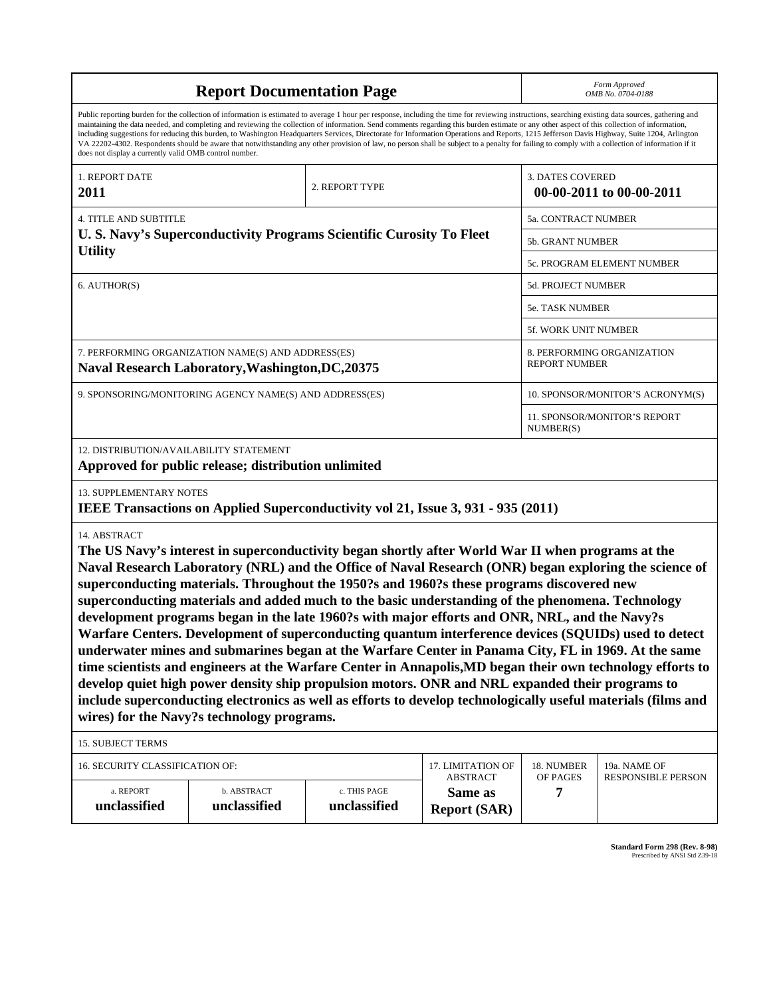| <b>Report Documentation Page</b>                                                                                                                                                                                                                                                                                                                                                                                                                                                                                                                                                                                                                                                                                                                                                                                                                                                                                                                                                                                                                                                                                            |                                      |                              |                                | Form Approved<br>OMB No. 0704-0188                  |                    |
|-----------------------------------------------------------------------------------------------------------------------------------------------------------------------------------------------------------------------------------------------------------------------------------------------------------------------------------------------------------------------------------------------------------------------------------------------------------------------------------------------------------------------------------------------------------------------------------------------------------------------------------------------------------------------------------------------------------------------------------------------------------------------------------------------------------------------------------------------------------------------------------------------------------------------------------------------------------------------------------------------------------------------------------------------------------------------------------------------------------------------------|--------------------------------------|------------------------------|--------------------------------|-----------------------------------------------------|--------------------|
| Public reporting burden for the collection of information is estimated to average 1 hour per response, including the time for reviewing instructions, searching existing data sources, gathering and<br>maintaining the data needed, and completing and reviewing the collection of information. Send comments regarding this burden estimate or any other aspect of this collection of information,<br>including suggestions for reducing this burden, to Washington Headquarters Services, Directorate for Information Operations and Reports, 1215 Jefferson Davis Highway, Suite 1204, Arlington<br>VA 22202-4302. Respondents should be aware that notwithstanding any other provision of law, no person shall be subject to a penalty for failing to comply with a collection of information if it<br>does not display a currently valid OMB control number.                                                                                                                                                                                                                                                          |                                      |                              |                                |                                                     |                    |
| 1. REPORT DATE<br><b>2011</b>                                                                                                                                                                                                                                                                                                                                                                                                                                                                                                                                                                                                                                                                                                                                                                                                                                                                                                                                                                                                                                                                                               |                                      | 2. REPORT TYPE               |                                | <b>3. DATES COVERED</b><br>00-00-2011 to 00-00-2011 |                    |
| <b>4. TITLE AND SUBTITLE</b>                                                                                                                                                                                                                                                                                                                                                                                                                                                                                                                                                                                                                                                                                                                                                                                                                                                                                                                                                                                                                                                                                                |                                      | 5a. CONTRACT NUMBER          |                                |                                                     |                    |
| U.S. Navy's Superconductivity Programs Scientific Curosity To Fleet                                                                                                                                                                                                                                                                                                                                                                                                                                                                                                                                                                                                                                                                                                                                                                                                                                                                                                                                                                                                                                                         |                                      | 5b. GRANT NUMBER             |                                |                                                     |                    |
| <b>Utility</b>                                                                                                                                                                                                                                                                                                                                                                                                                                                                                                                                                                                                                                                                                                                                                                                                                                                                                                                                                                                                                                                                                                              |                                      |                              |                                | 5c. PROGRAM ELEMENT NUMBER                          |                    |
| 6. AUTHOR(S)                                                                                                                                                                                                                                                                                                                                                                                                                                                                                                                                                                                                                                                                                                                                                                                                                                                                                                                                                                                                                                                                                                                |                                      |                              |                                | 5d. PROJECT NUMBER                                  |                    |
|                                                                                                                                                                                                                                                                                                                                                                                                                                                                                                                                                                                                                                                                                                                                                                                                                                                                                                                                                                                                                                                                                                                             |                                      |                              |                                | <b>5e. TASK NUMBER</b>                              |                    |
|                                                                                                                                                                                                                                                                                                                                                                                                                                                                                                                                                                                                                                                                                                                                                                                                                                                                                                                                                                                                                                                                                                                             |                                      |                              |                                | 5f. WORK UNIT NUMBER                                |                    |
| 7. PERFORMING ORGANIZATION NAME(S) AND ADDRESS(ES)<br><b>Naval Research Laboratory, Washington, DC, 20375</b>                                                                                                                                                                                                                                                                                                                                                                                                                                                                                                                                                                                                                                                                                                                                                                                                                                                                                                                                                                                                               |                                      |                              |                                | 8. PERFORMING ORGANIZATION<br><b>REPORT NUMBER</b>  |                    |
| 9. SPONSORING/MONITORING AGENCY NAME(S) AND ADDRESS(ES)                                                                                                                                                                                                                                                                                                                                                                                                                                                                                                                                                                                                                                                                                                                                                                                                                                                                                                                                                                                                                                                                     |                                      |                              |                                | 10. SPONSOR/MONITOR'S ACRONYM(S)                    |                    |
|                                                                                                                                                                                                                                                                                                                                                                                                                                                                                                                                                                                                                                                                                                                                                                                                                                                                                                                                                                                                                                                                                                                             |                                      |                              |                                | <b>11. SPONSOR/MONITOR'S REPORT</b><br>NUMBER(S)    |                    |
| 12. DISTRIBUTION/AVAILABILITY STATEMENT<br>Approved for public release; distribution unlimited                                                                                                                                                                                                                                                                                                                                                                                                                                                                                                                                                                                                                                                                                                                                                                                                                                                                                                                                                                                                                              |                                      |                              |                                |                                                     |                    |
| <b>13. SUPPLEMENTARY NOTES</b><br>IEEE Transactions on Applied Superconductivity vol 21, Issue 3, 931 - 935 (2011)                                                                                                                                                                                                                                                                                                                                                                                                                                                                                                                                                                                                                                                                                                                                                                                                                                                                                                                                                                                                          |                                      |                              |                                |                                                     |                    |
| 14. ABSTRACT<br>The US Navy's interest in superconductivity began shortly after World War II when programs at the<br>Naval Research Laboratory (NRL) and the Office of Naval Research (ONR) began exploring the science of<br>superconducting materials. Throughout the 1950?s and 1960?s these programs discovered new<br>superconducting materials and added much to the basic understanding of the phenomena. Technology<br>development programs began in the late 1960?s with major efforts and ONR, NRL, and the Navy?s<br>Warfare Centers. Development of superconducting quantum interference devices (SQUIDs) used to detect<br>underwater mines and submarines began at the Warfare Center in Panama City, FL in 1969. At the same<br>time scientists and engineers at the Warfare Center in Annapolis, MD began their own technology efforts to<br>develop quiet high power density ship propulsion motors. ONR and NRL expanded their programs to<br>include superconducting electronics as well as efforts to develop technologically useful materials (films and<br>wires) for the Navy?s technology programs. |                                      |                              |                                |                                                     |                    |
| <b>15. SUBJECT TERMS</b>                                                                                                                                                                                                                                                                                                                                                                                                                                                                                                                                                                                                                                                                                                                                                                                                                                                                                                                                                                                                                                                                                                    |                                      |                              |                                |                                                     |                    |
| 16. SECURITY CLASSIFICATION OF:                                                                                                                                                                                                                                                                                                                                                                                                                                                                                                                                                                                                                                                                                                                                                                                                                                                                                                                                                                                                                                                                                             | 17. LIMITATION OF<br><b>ABSTRACT</b> | 18. NUMBER<br>OF PAGES       | 19a. NAME OF                   |                                                     |                    |
| a. REPORT<br>unclassified                                                                                                                                                                                                                                                                                                                                                                                                                                                                                                                                                                                                                                                                                                                                                                                                                                                                                                                                                                                                                                                                                                   | b. ABSTRACT<br>unclassified          | c. THIS PAGE<br>unclassified | Same as<br><b>Report (SAR)</b> | 7                                                   | RESPONSIBLE PERSON |

**Standard Form 298 (Rev. 8-98)**<br>Prescribed by ANSI Std Z39-18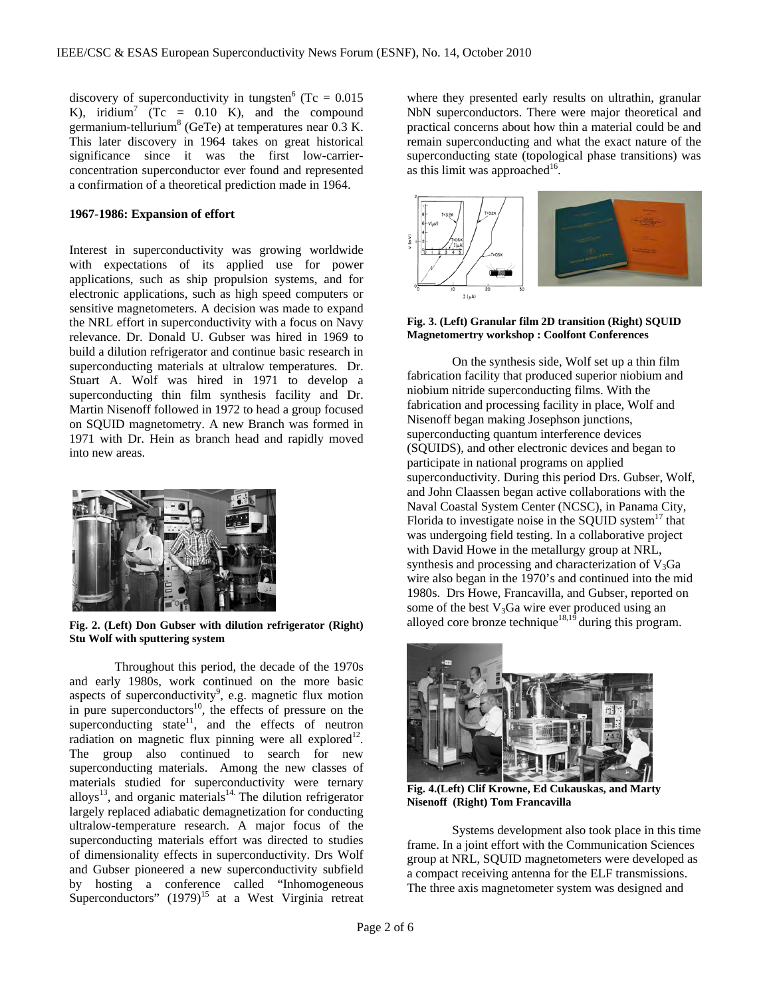discovery of superconductivity in tungsten<sup>6</sup> (Tc =  $0.015$ ) K), iridium<sup>7</sup> (Tc =  $0.10$  K), and the compound germanium-tellurium<sup>8</sup> (GeTe) at temperatures near  $0.3$  K. This later discovery in 1964 takes on great historical significance since it was the first low-carrierconcentration superconductor ever found and represented a confirmation of a theoretical prediction made in 1964.

### **1967-1986: Expansion of effort**

Interest in superconductivity was growing worldwide with expectations of its applied use for power applications, such as ship propulsion systems, and for electronic applications, such as high speed computers or sensitive magnetometers. A decision was made to expand the NRL effort in superconductivity with a focus on Navy relevance. Dr. Donald U. Gubser was hired in 1969 to build a dilution refrigerator and continue basic research in superconducting materials at ultralow temperatures. Dr. Stuart A. Wolf was hired in 1971 to develop a superconducting thin film synthesis facility and Dr. Martin Nisenoff followed in 1972 to head a group focused on SQUID magnetometry. A new Branch was formed in 1971 with Dr. Hein as branch head and rapidly moved into new areas.



**Fig. 2. (Left) Don Gubser with dilution refrigerator (Right) Stu Wolf with sputtering system** 

Throughout this period, the decade of the 1970s and early 1980s, work continued on the more basic aspects of superconductivity<sup>9</sup>, e.g. magnetic flux motion in pure superconductors $10$ , the effects of pressure on the superconducting state $11$ , and the effects of neutron radiation on magnetic flux pinning were all explored<sup>12</sup>. The group also continued to search for new superconducting materials. Among the new classes of materials studied for superconductivity were ternary alloys<sup>13</sup>, and organic materials<sup>14.</sup> The dilution refrigerator largely replaced adiabatic demagnetization for conducting ultralow-temperature research. A major focus of the superconducting materials effort was directed to studies of dimensionality effects in superconductivity. Drs Wolf and Gubser pioneered a new superconductivity subfield by hosting a conference called "Inhomogeneous Superconductors"  $(1979)^{15}$  at a West Virginia retreat where they presented early results on ultrathin, granular NbN superconductors. There were major theoretical and practical concerns about how thin a material could be and remain superconducting and what the exact nature of the superconducting state (topological phase transitions) was as this limit was approached<sup>16</sup>.



**Fig. 3. (Left) Granular film 2D transition (Right) SQUID Magnetomertry workshop : Coolfont Conferences** 

On the synthesis side, Wolf set up a thin film fabrication facility that produced superior niobium and niobium nitride superconducting films. With the fabrication and processing facility in place, Wolf and Nisenoff began making Josephson junctions, superconducting quantum interference devices (SQUIDS), and other electronic devices and began to participate in national programs on applied superconductivity. During this period Drs. Gubser, Wolf, and John Claassen began active collaborations with the Naval Coastal System Center (NCSC), in Panama City, Florida to investigate noise in the SQUID system<sup>17</sup> that was undergoing field testing. In a collaborative project with David Howe in the metallurgy group at NRL, synthesis and processing and characterization of  $V_3Ga$ wire also began in the 1970's and continued into the mid 1980s. Drs Howe, Francavilla, and Gubser, reported on some of the best  $V_3Ga$  wire ever produced using an alloyed core bronze technique<sup>18,19</sup> during this program.



**Fig. 4.(Left) Clif Krowne, Ed Cukauskas, and Marty Nisenoff (Right) Tom Francavilla** 

Systems development also took place in this time frame. In a joint effort with the Communication Sciences group at NRL, SQUID magnetometers were developed as a compact receiving antenna for the ELF transmissions. The three axis magnetometer system was designed and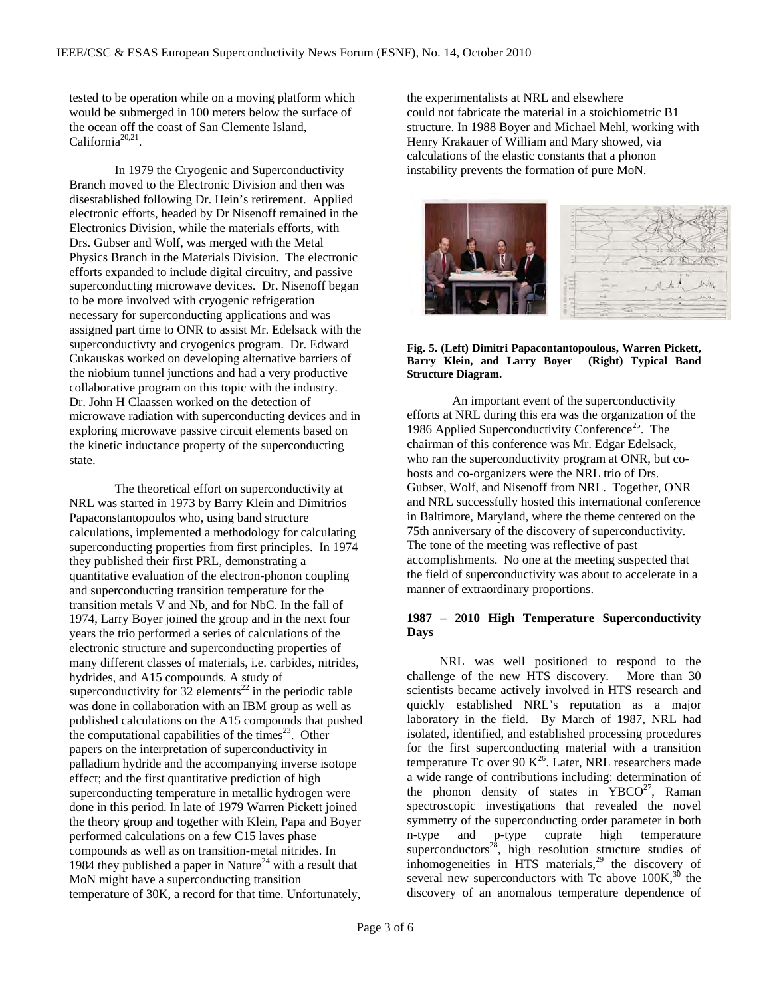tested to be operation while on a moving platform which would be submerged in 100 meters below the surface of the ocean off the coast of San Clemente Island,  $California<sup>20,21</sup>$ .

In 1979 the Cryogenic and Superconductivity Branch moved to the Electronic Division and then was disestablished following Dr. Hein's retirement. Applied electronic efforts, headed by Dr Nisenoff remained in the Electronics Division, while the materials efforts, with Drs. Gubser and Wolf, was merged with the Metal Physics Branch in the Materials Division. The electronic efforts expanded to include digital circuitry, and passive superconducting microwave devices. Dr. Nisenoff began to be more involved with cryogenic refrigeration necessary for superconducting applications and was assigned part time to ONR to assist Mr. Edelsack with the superconductivty and cryogenics program. Dr. Edward Cukauskas worked on developing alternative barriers of the niobium tunnel junctions and had a very productive collaborative program on this topic with the industry. Dr. John H Claassen worked on the detection of microwave radiation with superconducting devices and in exploring microwave passive circuit elements based on the kinetic inductance property of the superconducting state.

The theoretical effort on superconductivity at NRL was started in 1973 by Barry Klein and Dimitrios Papaconstantopoulos who, using band structure calculations, implemented a methodology for calculating superconducting properties from first principles. In 1974 they published their first PRL, demonstrating a quantitative evaluation of the electron-phonon coupling and superconducting transition temperature for the transition metals V and Nb, and for NbC. In the fall of 1974, Larry Boyer joined the group and in the next four years the trio performed a series of calculations of the electronic structure and superconducting properties of many different classes of materials, i.e. carbides, nitrides, hydrides, and A15 compounds. A study of superconductivity for  $32$  elements<sup>22</sup> in the periodic table was done in collaboration with an IBM group as well as published calculations on the A15 compounds that pushed the computational capabilities of the times<sup>23</sup>. Other papers on the interpretation of superconductivity in palladium hydride and the accompanying inverse isotope effect; and the first quantitative prediction of high superconducting temperature in metallic hydrogen were done in this period. In late of 1979 Warren Pickett joined the theory group and together with Klein, Papa and Boyer performed calculations on a few C15 laves phase compounds as well as on transition-metal nitrides. In 1984 they published a paper in Nature<sup>24</sup> with a result that MoN might have a superconducting transition temperature of 30K, a record for that time. Unfortunately,

the experimentalists at NRL and elsewhere could not fabricate the material in a stoichiometric B1 structure. In 1988 Boyer and Michael Mehl, working with Henry Krakauer of William and Mary showed, via calculations of the elastic constants that a phonon instability prevents the formation of pure MoN.



**Fig. 5. (Left) Dimitri Papacontantopoulous, Warren Pickett, Barry Klein, and Larry Boyer (Right) Typical Band Structure Diagram.** 

An important event of the superconductivity efforts at NRL during this era was the organization of the 1986 Applied Superconductivity Conference<sup>25</sup>. The chairman of this conference was Mr. Edgar Edelsack, who ran the superconductivity program at ONR, but cohosts and co-organizers were the NRL trio of Drs. Gubser, Wolf, and Nisenoff from NRL. Together, ONR and NRL successfully hosted this international conference in Baltimore, Maryland, where the theme centered on the 75th anniversary of the discovery of superconductivity. The tone of the meeting was reflective of past accomplishments. No one at the meeting suspected that the field of superconductivity was about to accelerate in a manner of extraordinary proportions.

# **1987 – 2010 High Temperature Superconductivity Days**

 NRL was well positioned to respond to the challenge of the new HTS discovery. More than 30 scientists became actively involved in HTS research and quickly established NRL's reputation as a major laboratory in the field. By March of 1987, NRL had isolated, identified, and established processing procedures for the first superconducting material with a transition temperature Tc over 90  $K^{26}$ . Later, NRL researchers made a wide range of contributions including: determination of the phonon density of states in  $YBCO<sup>27</sup>$ , Raman spectroscopic investigations that revealed the novel symmetry of the superconducting order parameter in both n-type and p-type cuprate high temperature superconductors $28$ , high resolution structure studies of inhomogeneities in HTS materials, $29$  the discovery of several new superconductors with Tc above  $100K<sup>30</sup>$ , the discovery of an anomalous temperature dependence of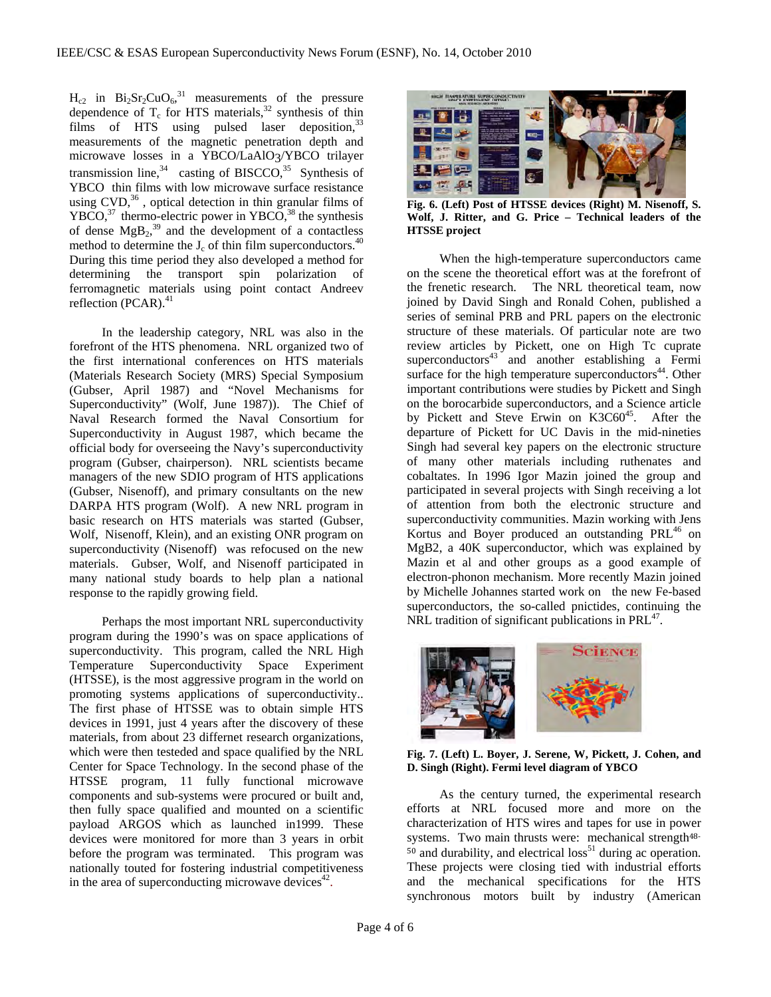$H_{c2}$  in Bi<sub>2</sub>Sr<sub>2</sub>CuO<sub>6</sub>,<sup>31</sup> measurements of the pressure dependence of  $T_c$  for HTS materials,<sup>32</sup> synthesis of thin films of HTS using pulsed laser deposition,<sup>33</sup> measurements of the magnetic penetration depth and microwave losses in a YBCO/LaAlO3/YBCO trilayer transmission line,<sup>34</sup> casting of BISCCO,<sup>35</sup> Synthesis of YBCO thin films with low microwave surface resistance using  $CVD$ ,<sup>36</sup>, optical detection in thin granular films of  $YBCO<sub>37</sub>$ , thermo-electric power in YBCO<sub>,<sup>38</sup></sub> the synthesis of dense  $MgB<sub>2</sub>$ <sup>39</sup> and the development of a contactless method to determine the  $J_c$  of thin film superconductors.<sup>40</sup> During this time period they also developed a method for determining the transport spin polarization of ferromagnetic materials using point contact Andreev reflection (PCAR). $41$ 

 In the leadership category, NRL was also in the forefront of the HTS phenomena. NRL organized two of the first international conferences on HTS materials (Materials Research Society (MRS) Special Symposium (Gubser, April 1987) and "Novel Mechanisms for Superconductivity" (Wolf, June 1987)). The Chief of Naval Research formed the Naval Consortium for Superconductivity in August 1987, which became the official body for overseeing the Navy's superconductivity program (Gubser, chairperson). NRL scientists became managers of the new SDIO program of HTS applications (Gubser, Nisenoff), and primary consultants on the new DARPA HTS program (Wolf). A new NRL program in basic research on HTS materials was started (Gubser, Wolf, Nisenoff, Klein), and an existing ONR program on superconductivity (Nisenoff) was refocused on the new materials. Gubser, Wolf, and Nisenoff participated in many national study boards to help plan a national response to the rapidly growing field.

 Perhaps the most important NRL superconductivity program during the 1990's was on space applications of superconductivity. This program, called the NRL High Temperature Superconductivity Space Experiment (HTSSE), is the most aggressive program in the world on promoting systems applications of superconductivity.. The first phase of HTSSE was to obtain simple HTS devices in 1991, just 4 years after the discovery of these materials, from about 23 differnet research organizations, which were then testeded and space qualified by the NRL Center for Space Technology. In the second phase of the HTSSE program, 11 fully functional microwave components and sub-systems were procured or built and, then fully space qualified and mounted on a scientific payload ARGOS which as launched in1999. These devices were monitored for more than 3 years in orbit before the program was terminated. This program was nationally touted for fostering industrial competitiveness in the area of superconducting microwave devices<sup>42</sup>.



**Fig. 6. (Left) Post of HTSSE devices (Right) M. Nisenoff, S. Wolf, J. Ritter, and G. Price – Technical leaders of the HTSSE project** 

 When the high-temperature superconductors came on the scene the theoretical effort was at the forefront of the frenetic research. The NRL theoretical team, now joined by David Singh and Ronald Cohen, published a series of seminal PRB and PRL papers on the electronic structure of these materials. Of particular note are two review articles by Pickett, one on High Tc cuprate superconductors $43$  and another establishing a Fermi surface for the high temperature superconductors<sup>44</sup>. Other important contributions were studies by Pickett and Singh on the borocarbide superconductors, and a Science article by Pickett and Steve Erwin on  $K3C60^{45}$ . After the departure of Pickett for UC Davis in the mid-nineties Singh had several key papers on the electronic structure of many other materials including ruthenates and cobaltates. In 1996 Igor Mazin joined the group and participated in several projects with Singh receiving a lot of attention from both the electronic structure and superconductivity communities. Mazin working with Jens Kortus and Boyer produced an outstanding PRL<sup>46</sup> on MgB2, a 40K superconductor, which was explained by Mazin et al and other groups as a good example of electron-phonon mechanism. More recently Mazin joined by Michelle Johannes started work on the new Fe-based superconductors, the so-called pnictides, continuing the NRL tradition of significant publications in  $PRL^{47}$ .



**Fig. 7. (Left) L. Boyer, J. Serene, W, Pickett, J. Cohen, and D. Singh (Right). Fermi level diagram of YBCO** 

 As the century turned, the experimental research efforts at NRL focused more and more on the characterization of HTS wires and tapes for use in power systems. Two main thrusts were: mechanical strength<sup>48-</sup>  $50$  and durability, and electrical loss<sup>51</sup> during ac operation. These projects were closing tied with industrial efforts and the mechanical specifications for the HTS synchronous motors built by industry (American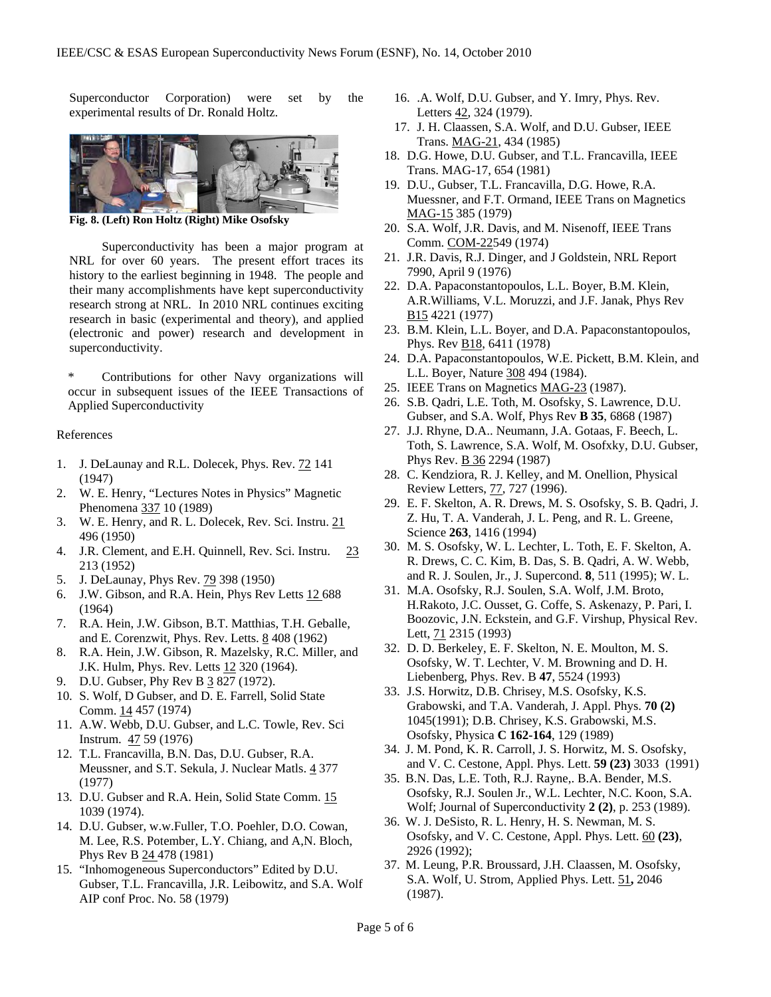Superconductor Corporation) were set by the experimental results of Dr. Ronald Holtz.



**Fig. 8. (Left) Ron Holtz (Right) Mike Osofsky** 

 Superconductivity has been a major program at NRL for over 60 years. The present effort traces its history to the earliest beginning in 1948. The people and their many accomplishments have kept superconductivity research strong at NRL. In 2010 NRL continues exciting research in basic (experimental and theory), and applied (electronic and power) research and development in superconductivity.

Contributions for other Navy organizations will occur in subsequent issues of the IEEE Transactions of Applied Superconductivity

#### References

- 1. J. DeLaunay and R.L. Dolecek, Phys. Rev. 72 141 (1947)
- 2. W. E. Henry, "Lectures Notes in Physics" Magnetic Phenomena 337 10 (1989)
- 3. W. E. Henry, and R. L. Dolecek, Rev. Sci. Instru. 21 496 (1950)
- 4. J.R. Clement, and E.H. Quinnell, Rev. Sci. Instru. 23 213 (1952)
- 5. J. DeLaunay, Phys Rev. **79 398 (1950)**
- 6. J.W. Gibson, and R.A. Hein, Phys Rev Letts 12 688 (1964)
- 7. R.A. Hein, J.W. Gibson, B.T. Matthias, T.H. Geballe, and E. Corenzwit, Phys. Rev. Letts. 8 408 (1962)
- 8. R.A. Hein, J.W. Gibson, R. Mazelsky, R.C. Miller, and J.K. Hulm, Phys. Rev. Letts 12 320 (1964).
- 9. D.U. Gubser, Phy Rev B 3 827 (1972).
- 10. S. Wolf, D Gubser, and D. E. Farrell, Solid State Comm. 14 457 (1974)
- 11. A.W. Webb, D.U. Gubser, and L.C. Towle, Rev. Sci Instrum. 47 59 (1976)
- 12. T.L. Francavilla, B.N. Das, D.U. Gubser, R.A. Meussner, and S.T. Sekula, J. Nuclear Matls. 4 377 (1977)
- 13. D.U. Gubser and R.A. Hein, Solid State Comm. 15 1039 (1974).
- 14. D.U. Gubser, w.w.Fuller, T.O. Poehler, D.O. Cowan, M. Lee, R.S. Potember, L.Y. Chiang, and A,N. Bloch, Phys Rev B 24 478 (1981)
- 15. "Inhomogeneous Superconductors" Edited by D.U. Gubser, T.L. Francavilla, J.R. Leibowitz, and S.A. Wolf AIP conf Proc. No. 58 (1979)
- 16. .A. Wolf, D.U. Gubser, and Y. Imry, Phys. Rev. Letters 42, 324 (1979).
- 17. J. H. Claassen, S.A. Wolf, and D.U. Gubser, IEEE Trans. MAG-21, 434 (1985)
- 18. D.G. Howe, D.U. Gubser, and T.L. Francavilla, IEEE Trans. MAG-17, 654 (1981)
- 19. D.U., Gubser, T.L. Francavilla, D.G. Howe, R.A. Muessner, and F.T. Ormand, IEEE Trans on Magnetics MAG-15 385 (1979)
- 20. S.A. Wolf, J.R. Davis, and M. Nisenoff, IEEE Trans Comm. COM-22549 (1974)
- 21. J.R. Davis, R.J. Dinger, and J Goldstein, NRL Report 7990, April 9 (1976)
- 22. D.A. Papaconstantopoulos, L.L. Boyer, B.M. Klein, A.R.Williams, V.L. Moruzzi, and J.F. Janak, Phys Rev B15 4221 (1977)
- 23. B.M. Klein, L.L. Boyer, and D.A. Papaconstantopoulos, Phys. Rev B18, 6411 (1978)
- 24. D.A. Papaconstantopoulos, W.E. Pickett, B.M. Klein, and L.L. Boyer, Nature 308 494 (1984).
- 25. IEEE Trans on Magnetics MAG-23 (1987).
- 26. S.B. Qadri, L.E. Toth, M. Osofsky, S. Lawrence, D.U. Gubser, and S.A. Wolf, Phys Rev **B 35**, 6868 (1987)
- 27. J.J. Rhyne, D.A.. Neumann, J.A. Gotaas, F. Beech, L. Toth, S. Lawrence, S.A. Wolf, M. Osofxky, D.U. Gubser, Phys Rev. B 36 2294 (1987)
- 28. C. Kendziora, R. J. Kelley, and M. Onellion, Physical Review Letters, 77, 727 (1996).
- 29. E. F. Skelton, A. R. Drews, M. S. Osofsky, S. B. Qadri, J. Z. Hu, T. A. Vanderah, J. L. Peng, and R. L. Greene, Science **263**, 1416 (1994)
- 30. M. S. Osofsky, W. L. Lechter, L. Toth, E. F. Skelton, A. R. Drews, C. C. Kim, B. Das, S. B. Qadri, A. W. Webb, and R. J. Soulen, Jr., J. Supercond. **8**, 511 (1995); W. L.
- 31. M.A. Osofsky, R.J. Soulen, S.A. Wolf, J.M. Broto, H.Rakoto, J.C. Ousset, G. Coffe, S. Askenazy, P. Pari, I. Boozovic, J.N. Eckstein, and G.F. Virshup, Physical Rev. Lett, 71 2315 (1993)
- 32. D. D. Berkeley, E. F. Skelton, N. E. Moulton, M. S. Osofsky, W. T. Lechter, V. M. Browning and D. H. Liebenberg, Phys. Rev. B **47**, 5524 (1993)
- 33. J.S. Horwitz, D.B. Chrisey, M.S. Osofsky, K.S. Grabowski, and T.A. Vanderah, J. Appl. Phys. **70 (2)** 1045(1991); D.B. Chrisey, K.S. Grabowski, M.S. Osofsky, Physica **C 162-164**, 129 (1989)
- 34. J. M. Pond, K. R. Carroll, J. S. Horwitz, M. S. Osofsky, and V. C. Cestone, Appl. Phys. Lett. **59 (23)** 3033 (1991)
- 35. B.N. Das, L.E. Toth, R.J. Rayne,. B.A. Bender, M.S. Osofsky, R.J. Soulen Jr., W.L. Lechter, N.C. Koon, S.A. Wolf; Journal of Superconductivity **2 (2)**, p. 253 (1989).
- 36. W. J. DeSisto, R. L. Henry, H. S. Newman, M. S. Osofsky, and V. C. Cestone, Appl. Phys. Lett. 60 **(23)**, 2926 (1992);
- 37. M. Leung, P.R. Broussard, J.H. Claassen, M. Osofsky, S.A. Wolf, U. Strom, Applied Phys. Lett. 51**,** 2046 (1987).